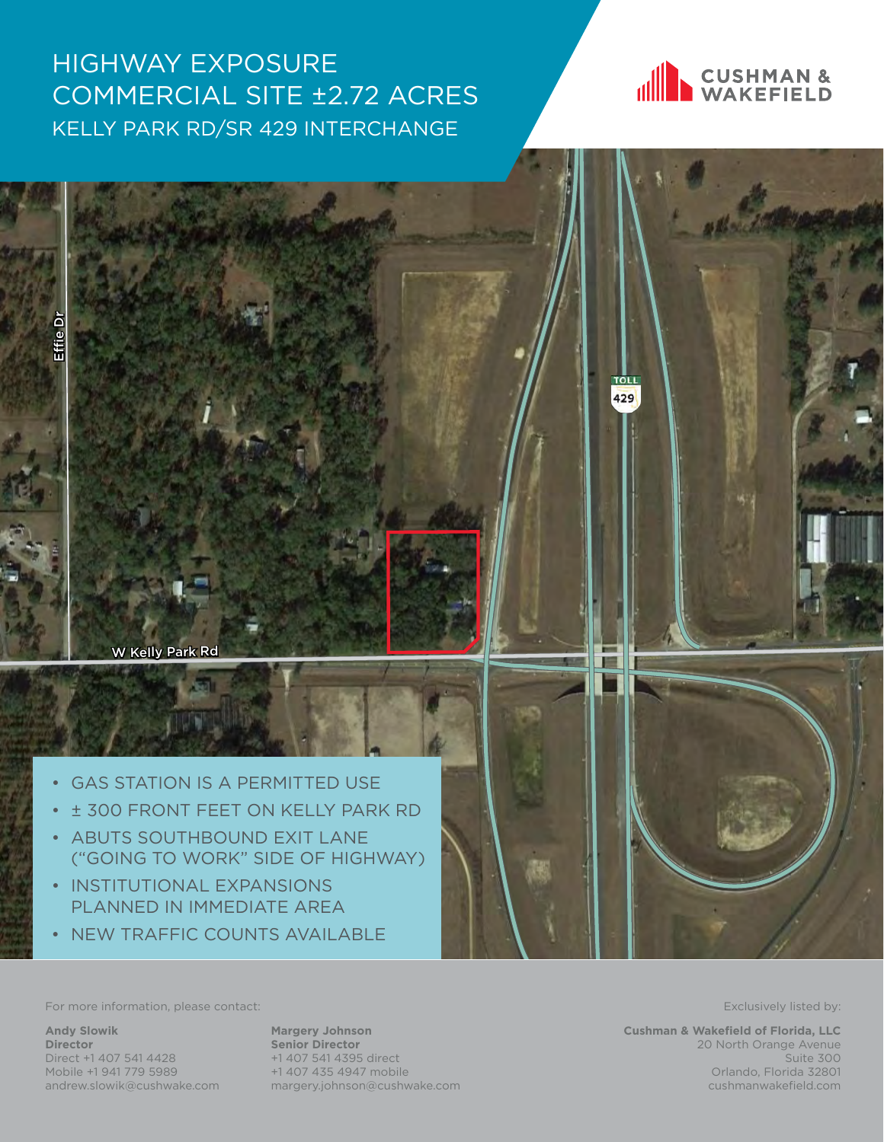## HIGHWAY EXPOSURE COMMERCIAL SITE ±2.72 ACRES KELLY PARK RD/SR 429 INTERCHANGE





For more information, please contact: Exclusively listed by: Exclusively listed by:

**Andy Slowik Director** Direct +1 407 541 4428 Mobile +1 941 779 5989 andrew.slowik@cushwake.com

**Margery Johnson Senior Director** +1 407 541 4395 direct +1 407 435 4947 mobile margery.johnson@cushwake.com

**Cushman & Wakefield of Florida, LLC** 20 North Orange Avenue Suite 300 Orlando, Florida 32801 cushmanwakefield.com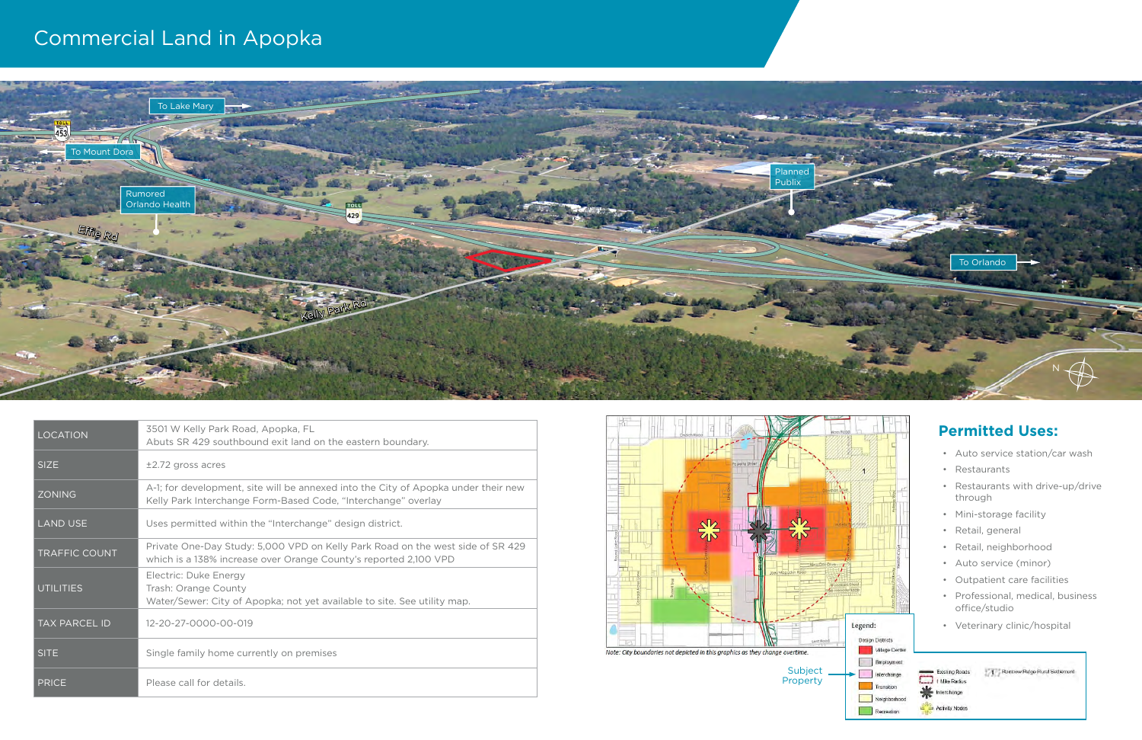| <b>LOCATION</b>      | 3501 W Kelly Park Road, Apopka, FL<br>Abuts SR 429 southbound exit land on the eastern boundary.                                                    |
|----------------------|-----------------------------------------------------------------------------------------------------------------------------------------------------|
| <b>SIZE</b>          | $±2.72$ gross acres                                                                                                                                 |
| <b>ZONING</b>        | A-1; for development, site will be annexed into the City of Apopka under their new<br>Kelly Park Interchange Form-Based Code, "Interchange" overlay |
| <b>LAND USE</b>      | Uses permitted within the "Interchange" design district.                                                                                            |
| <b>TRAFFIC COUNT</b> | Private One-Day Study: 5,000 VPD on Kelly Park Road on the west side of SR 429<br>which is a 138% increase over Orange County's reported 2,100 VPD  |
| <b>UTILITIES</b>     | Electric: Duke Energy<br>Trash: Orange County<br>Water/Sewer: City of Apopka; not yet available to site. See utility map.                           |
| <b>TAX PARCEL ID</b> | 12-20-27-0000-00-019                                                                                                                                |
| <b>SITE</b>          | Single family home currently on premises                                                                                                            |
| <b>PRICE</b>         | Please call for details.                                                                                                                            |

## Commercial Land in Apopka



## **Permitted Uses:**

- Auto service station/car wash
- Restaurants
- Restaurants with drive-up/drive through
- Mini-storage facility
- Retail, general
- Retail, neighborhood
- Auto service (minor)
- Outpatient care facilities
- Professional, medical, business office/studio

Rannow Ridge Rural Settement

• Veterinary clinic/hospital